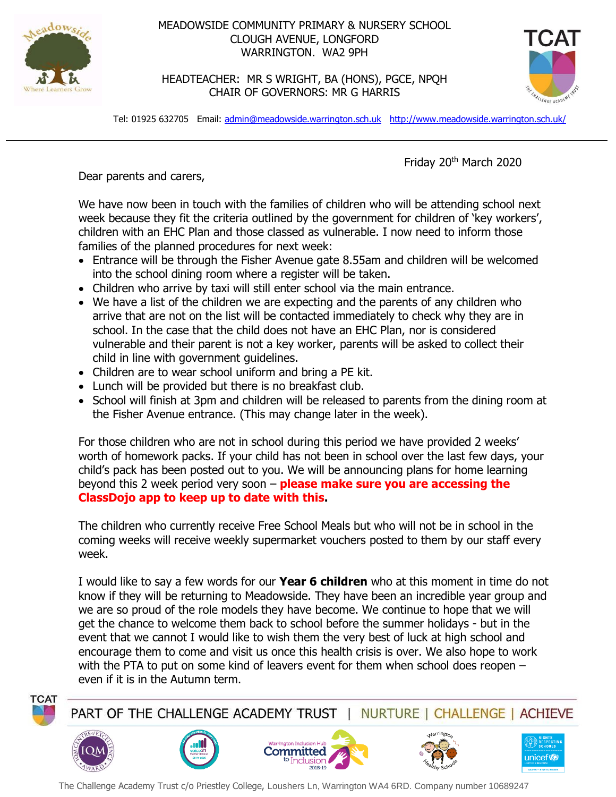

## MEADOWSIDE COMMUNITY PRIMARY & NURSERY SCHOOL CLOUGH AVENUE, LONGFORD WARRINGTON. WA2 9PH

HEADTEACHER: MR S WRIGHT, BA (HONS), PGCE, NPQH CHAIR OF GOVERNORS: MR G HARRIS



Tel: 01925 632705 Email: [admin@meadowside.warrington.sch.uk](mailto:admin@meadowside.warrington.sch.uk) <http://www.meadowside.warrington.sch.uk/>

Friday 20th March 2020

Dear parents and carers,

We have now been in touch with the families of children who will be attending school next week because they fit the criteria outlined by the government for children of 'key workers', children with an EHC Plan and those classed as vulnerable. I now need to inform those families of the planned procedures for next week:

- Entrance will be through the Fisher Avenue gate 8.55am and children will be welcomed into the school dining room where a register will be taken.
- Children who arrive by taxi will still enter school via the main entrance.
- We have a list of the children we are expecting and the parents of any children who arrive that are not on the list will be contacted immediately to check why they are in school. In the case that the child does not have an EHC Plan, nor is considered vulnerable and their parent is not a key worker, parents will be asked to collect their child in line with government guidelines.
- Children are to wear school uniform and bring a PE kit.
- Lunch will be provided but there is no breakfast club.
- School will finish at 3pm and children will be released to parents from the dining room at the Fisher Avenue entrance. (This may change later in the week).

For those children who are not in school during this period we have provided 2 weeks' worth of homework packs. If your child has not been in school over the last few days, your child's pack has been posted out to you. We will be announcing plans for home learning beyond this 2 week period very soon – **please make sure you are accessing the ClassDojo app to keep up to date with this.** 

The children who currently receive Free School Meals but who will not be in school in the coming weeks will receive weekly supermarket vouchers posted to them by our staff every week.

I would like to say a few words for our **Year 6 children** who at this moment in time do not know if they will be returning to Meadowside. They have been an incredible year group and we are so proud of the role models they have become. We continue to hope that we will get the chance to welcome them back to school before the summer holidays - but in the event that we cannot I would like to wish them the very best of luck at high school and encourage them to come and visit us once this health crisis is over. We also hope to work with the PTA to put on some kind of leavers event for them when school does reopen – even if it is in the Autumn term.



PART OF THE CHALLENGE ACADEMY TRUST NURTURE | CHALLENGE | ACHIEVE











The Challenge Academy Trust c/o Priestley College, Loushers Ln, Warrington WA4 6RD. Company number 10689247